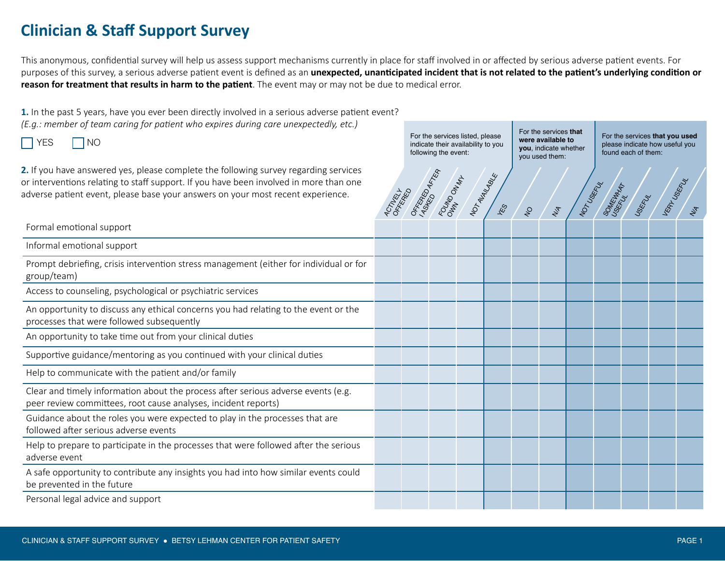## **Clinician & Staff Support Survey**

This anonymous, confidential survey will help us assess support mechanisms currently in place for staff involved in or affected by serious adverse patient events. For purposes of this survey, a serious adverse patient event is defined as an **unexpected, unanticipated incident that is not related to the patient's underlying condition or reason for treatment that results in harm to the patient**. The event may or may not be due to medical error.

**1.** In the past 5 years, have you ever been directly involved in a serious adverse patient event? *(E.g.: member of team caring for patient who expires during care unexpectedly, etc.)*

 $YES$   $\neg$  NO

**2.** If you have answered yes, please complete the following survey regarding services or interventions relating to staff support. If you have been involved in more than one adverse patient event, please base your answers on your most recent experience.

For the services listed, please indicate their availability to you following the event:

For the services **that were available to you**, indicate whether you used them:

For the services **that you used** please indicate how useful you found each of them:

| <b>2.</b> If you have answered yes, please complete the following survey regarding services<br>or interventions relating to staff support. If you have been involved in more than one<br>adverse patient event, please base your answers on your most recent experience. | <b>ACTIVEST</b> | OFFERED AFTER | FOUND ON MAX | NOTAUANASKE<br>ES | $\mathcal{S}$ | NA | NOTUSERY | SOMEWAY | USERILLY | VERT USERLY |  |
|--------------------------------------------------------------------------------------------------------------------------------------------------------------------------------------------------------------------------------------------------------------------------|-----------------|---------------|--------------|-------------------|---------------|----|----------|---------|----------|-------------|--|
| Formal emotional support                                                                                                                                                                                                                                                 |                 |               |              |                   |               |    |          |         |          |             |  |
| Informal emotional support                                                                                                                                                                                                                                               |                 |               |              |                   |               |    |          |         |          |             |  |
| Prompt debriefing, crisis intervention stress management (either for individual or for<br>group/team)                                                                                                                                                                    |                 |               |              |                   |               |    |          |         |          |             |  |
| Access to counseling, psychological or psychiatric services                                                                                                                                                                                                              |                 |               |              |                   |               |    |          |         |          |             |  |
| An opportunity to discuss any ethical concerns you had relating to the event or the<br>processes that were followed subsequently                                                                                                                                         |                 |               |              |                   |               |    |          |         |          |             |  |
| An opportunity to take time out from your clinical duties                                                                                                                                                                                                                |                 |               |              |                   |               |    |          |         |          |             |  |
| Supportive guidance/mentoring as you continued with your clinical duties                                                                                                                                                                                                 |                 |               |              |                   |               |    |          |         |          |             |  |
| Help to communicate with the patient and/or family                                                                                                                                                                                                                       |                 |               |              |                   |               |    |          |         |          |             |  |
| Clear and timely information about the process after serious adverse events (e.g.<br>peer review committees, root cause analyses, incident reports)                                                                                                                      |                 |               |              |                   |               |    |          |         |          |             |  |
| Guidance about the roles you were expected to play in the processes that are<br>followed after serious adverse events                                                                                                                                                    |                 |               |              |                   |               |    |          |         |          |             |  |
| Help to prepare to participate in the processes that were followed after the serious<br>adverse event                                                                                                                                                                    |                 |               |              |                   |               |    |          |         |          |             |  |
| A safe opportunity to contribute any insights you had into how similar events could<br>be prevented in the future                                                                                                                                                        |                 |               |              |                   |               |    |          |         |          |             |  |
| Personal legal advice and support                                                                                                                                                                                                                                        |                 |               |              |                   |               |    |          |         |          |             |  |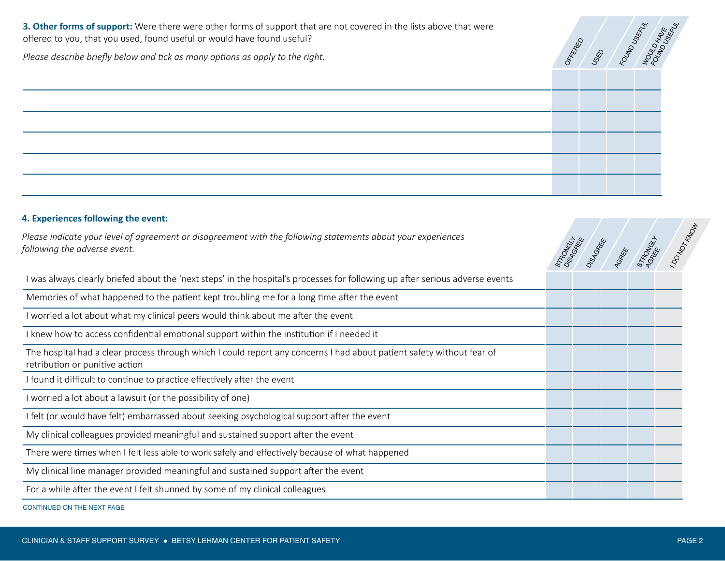**3. Other forms of support:** Were there were other forms of support that are not covered in the lists above that were offered to you, that you used, found useful or would have found useful?



STRONGE<br>DISAGREE<br>DISAGREE

AGREE ON

I DONOTINGU

*Please describe briefly below and tick as many options as apply to the right.* 

## **4. Experiences following the event:**

*Please indicate your level of agreement or disagreement with the following statements about your experiences following the adverse event.*

I was always clearly briefed about the 'next steps' in the hospital's processes for following up after serious adverse events

Memories of what happened to the patient kept troubling me for a long time after the event

I worried a lot about what my clinical peers would think about me after the event

I knew how to access confidential emotional support within the institution if I needed it

The hospital had a clear process through which I could report any concerns I had about patient safety without fear of retribution or punitive action

I found it difficult to continue to practice effectively after the event

I worried a lot about a lawsuit (or the possibility of one)

I felt (or would have felt) embarrassed about seeking psychological support after the event

My clinical colleagues provided meaningful and sustained support after the event

There were times when I felt less able to work safely and effectively because of what happened

My clinical line manager provided meaningful and sustained support after the event

For a while after the event I felt shunned by some of my clinical colleagues

CONTINUED ON THE NEXT PAGE